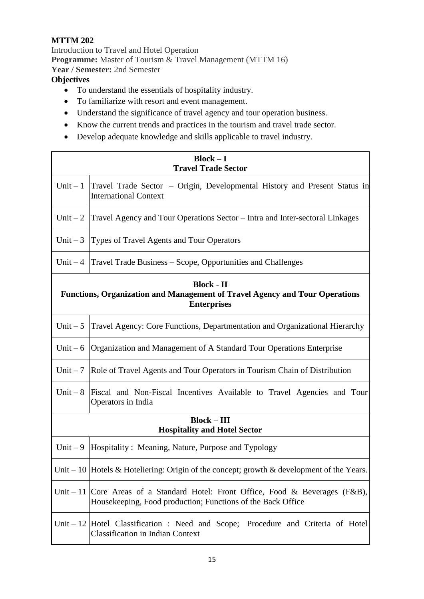## **MTTM 202**

Introduction to Travel and Hotel Operation **Programme:** Master of Tourism & Travel Management (MTTM 16) **Year / Semester:** 2nd Semester

## **Objectives**

- To understand the essentials of hospitality industry.
- To familiarize with resort and event management.
- Understand the significance of travel agency and tour operation business.
- Know the current trends and practices in the tourism and travel trade sector.
- Develop adequate knowledge and skills applicable to travel industry.

| $Block - I$<br><b>Travel Trade Sector</b>                                                                                     |                                                                                                                                                |
|-------------------------------------------------------------------------------------------------------------------------------|------------------------------------------------------------------------------------------------------------------------------------------------|
| Unit $-1$                                                                                                                     | Travel Trade Sector – Origin, Developmental History and Present Status in<br><b>International Context</b>                                      |
| Unit $-2$                                                                                                                     | Travel Agency and Tour Operations Sector – Intra and Inter-sectoral Linkages                                                                   |
| Unit $-3$                                                                                                                     | Types of Travel Agents and Tour Operators                                                                                                      |
|                                                                                                                               | Unit $-4$ Travel Trade Business $-$ Scope, Opportunities and Challenges                                                                        |
| <b>Block - II</b><br><b>Functions, Organization and Management of Travel Agency and Tour Operations</b><br><b>Enterprises</b> |                                                                                                                                                |
| Unit $-5$                                                                                                                     | Travel Agency: Core Functions, Departmentation and Organizational Hierarchy                                                                    |
| Unit $-6$                                                                                                                     | Organization and Management of A Standard Tour Operations Enterprise                                                                           |
| Unit $-7$                                                                                                                     | Role of Travel Agents and Tour Operators in Tourism Chain of Distribution                                                                      |
| Unit $-8$                                                                                                                     | Fiscal and Non-Fiscal Incentives Available to Travel Agencies and Tour<br>Operators in India                                                   |
| $Block - III$<br><b>Hospitality and Hotel Sector</b>                                                                          |                                                                                                                                                |
| Unit $-9$                                                                                                                     | Hospitality: Meaning, Nature, Purpose and Typology                                                                                             |
|                                                                                                                               | Unit – 10   Hotels & Hoteliering: Origin of the concept; growth & development of the Years.                                                    |
|                                                                                                                               | Unit – 11 Core Areas of a Standard Hotel: Front Office, Food & Beverages (F&B),<br>Housekeeping, Food production; Functions of the Back Office |
|                                                                                                                               | Unit – 12 Hotel Classification: Need and Scope; Procedure and Criteria of Hotel<br><b>Classification in Indian Context</b>                     |